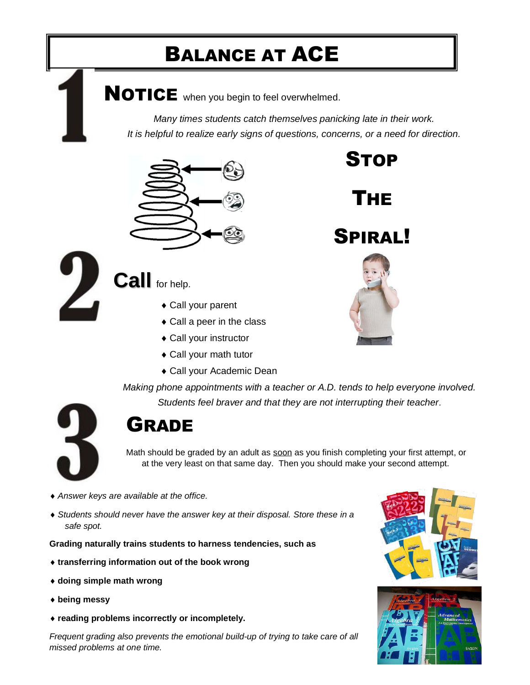## BALANCE AT ACE

NOTICE when you begin to feel overwhelmed.

*Many times students catch themselves panicking late in their work. It is helpful to realize early signs of questions, concerns, or a need for direction.* 

STOP

THE

SPIRAL!



**Call** for help.

- ◆ Call your parent
- ◆ Call a peer in the class
- Call your instructor
- Call your math tutor
- Call your Academic Dean

*Making phone appointments with a teacher or A.D. tends to help everyone involved.* 

*Students feel braver and that they are not interrupting their teacher.* 



#### *Teachers are better able to give their students attention with a phone appointment.* GRADE

Math should be graded by an adult as soon as you finish completing your first attempt, or at the very least on that same day. Then you should make your second attempt.

- *Answer keys are available at the office.*
- *Students should never have the answer key at their disposal. Store these in a safe spot.*

**Grading naturally trains students to harness tendencies, such as** 

- **transferring information out of the book wrong**
- **doing simple math wrong**
- **being messy**
- **reading problems incorrectly or incompletely.**

*Frequent grading also prevents the emotional build-up of trying to take care of all missed problems at one time.*